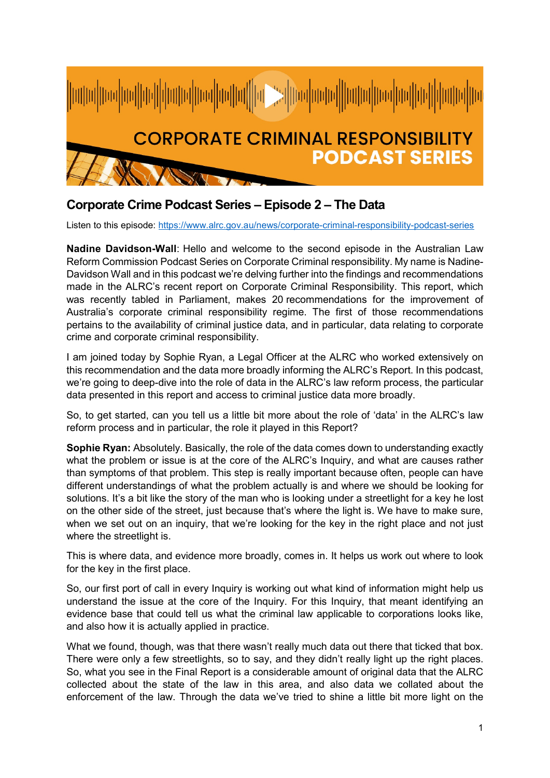

## **Corporate Crime Podcast Series – Episode 2 – The Data**

Listen to this episode:<https://www.alrc.gov.au/news/corporate-criminal-responsibility-podcast-series>

**Nadine Davidson-Wall**: Hello and welcome to the second episode in the Australian Law Reform Commission Podcast Series on Corporate Criminal responsibility. My name is Nadine-Davidson Wall and in this podcast we're delving further into the findings and recommendations made in the ALRC's recent report on Corporate Criminal Responsibility. This report, which was recently tabled in Parliament, makes 20 recommendations for the improvement of Australia's corporate criminal responsibility regime. The first of those recommendations pertains to the availability of criminal justice data, and in particular, data relating to corporate crime and corporate criminal responsibility.

I am joined today by Sophie Ryan, a Legal Officer at the ALRC who worked extensively on this recommendation and the data more broadly informing the ALRC's Report. In this podcast, we're going to deep-dive into the role of data in the ALRC's law reform process, the particular data presented in this report and access to criminal justice data more broadly.

So, to get started, can you tell us a little bit more about the role of 'data' in the ALRC's law reform process and in particular, the role it played in this Report?

**Sophie Ryan:** Absolutely. Basically, the role of the data comes down to understanding exactly what the problem or issue is at the core of the ALRC's Inquiry, and what are causes rather than symptoms of that problem. This step is really important because often, people can have different understandings of what the problem actually is and where we should be looking for solutions. It's a bit like the story of the man who is looking under a streetlight for a key he lost on the other side of the street, just because that's where the light is. We have to make sure, when we set out on an inquiry, that we're looking for the key in the right place and not just where the streetlight is.

This is where data, and evidence more broadly, comes in. It helps us work out where to look for the key in the first place.

So, our first port of call in every Inquiry is working out what kind of information might help us understand the issue at the core of the Inquiry. For this Inquiry, that meant identifying an evidence base that could tell us what the criminal law applicable to corporations looks like, and also how it is actually applied in practice.

What we found, though, was that there wasn't really much data out there that ticked that box. There were only a few streetlights, so to say, and they didn't really light up the right places. So, what you see in the Final Report is a considerable amount of original data that the ALRC collected about the state of the law in this area, and also data we collated about the enforcement of the law. Through the data we've tried to shine a little bit more light on the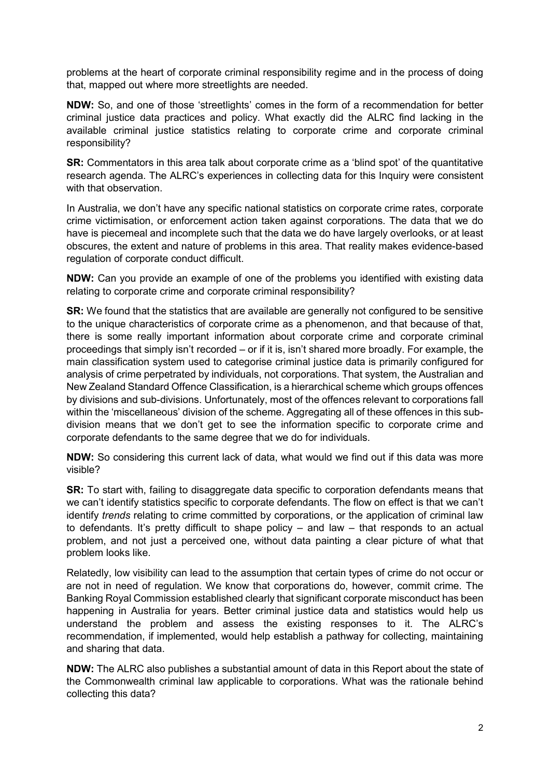problems at the heart of corporate criminal responsibility regime and in the process of doing that, mapped out where more streetlights are needed.

**NDW:** So, and one of those 'streetlights' comes in the form of a recommendation for better criminal justice data practices and policy. What exactly did the ALRC find lacking in the available criminal justice statistics relating to corporate crime and corporate criminal responsibility?

**SR:** Commentators in this area talk about corporate crime as a 'blind spot' of the quantitative research agenda. The ALRC's experiences in collecting data for this Inquiry were consistent with that observation.

In Australia, we don't have any specific national statistics on corporate crime rates, corporate crime victimisation, or enforcement action taken against corporations. The data that we do have is piecemeal and incomplete such that the data we do have largely overlooks, or at least obscures, the extent and nature of problems in this area. That reality makes evidence-based regulation of corporate conduct difficult.

**NDW:** Can you provide an example of one of the problems you identified with existing data relating to corporate crime and corporate criminal responsibility?

**SR:** We found that the statistics that are available are generally not configured to be sensitive to the unique characteristics of corporate crime as a phenomenon, and that because of that, there is some really important information about corporate crime and corporate criminal proceedings that simply isn't recorded – or if it is, isn't shared more broadly. For example, the main classification system used to categorise criminal justice data is primarily configured for analysis of crime perpetrated by individuals, not corporations. That system, the Australian and New Zealand Standard Offence Classification, is a hierarchical scheme which groups offences by divisions and sub-divisions. Unfortunately, most of the offences relevant to corporations fall within the 'miscellaneous' division of the scheme. Aggregating all of these offences in this subdivision means that we don't get to see the information specific to corporate crime and corporate defendants to the same degree that we do for individuals.

**NDW:** So considering this current lack of data, what would we find out if this data was more visible?

**SR:** To start with, failing to disaggregate data specific to corporation defendants means that we can't identify statistics specific to corporate defendants. The flow on effect is that we can't identify *trends* relating to crime committed by corporations, or the application of criminal law to defendants. It's pretty difficult to shape policy – and law – that responds to an actual problem, and not just a perceived one, without data painting a clear picture of what that problem looks like.

Relatedly, low visibility can lead to the assumption that certain types of crime do not occur or are not in need of regulation. We know that corporations do, however, commit crime. The Banking Royal Commission established clearly that significant corporate misconduct has been happening in Australia for years. Better criminal justice data and statistics would help us understand the problem and assess the existing responses to it. The ALRC's recommendation, if implemented, would help establish a pathway for collecting, maintaining and sharing that data.

**NDW:** The ALRC also publishes a substantial amount of data in this Report about the state of the Commonwealth criminal law applicable to corporations. What was the rationale behind collecting this data?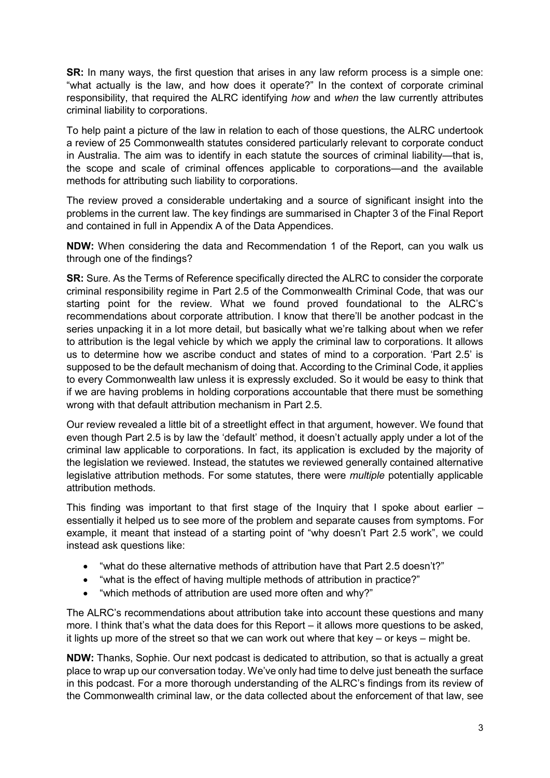**SR:** In many ways, the first question that arises in any law reform process is a simple one: "what actually is the law, and how does it operate?" In the context of corporate criminal responsibility, that required the ALRC identifying *how* and *when* the law currently attributes criminal liability to corporations.

To help paint a picture of the law in relation to each of those questions, the ALRC undertook a review of 25 Commonwealth statutes considered particularly relevant to corporate conduct in Australia. The aim was to identify in each statute the sources of criminal liability—that is, the scope and scale of criminal offences applicable to corporations—and the available methods for attributing such liability to corporations.

The review proved a considerable undertaking and a source of significant insight into the problems in the current law. The key findings are summarised in Chapter 3 of the Final Report and contained in full in Appendix A of the Data Appendices.

**NDW:** When considering the data and Recommendation 1 of the Report, can you walk us through one of the findings?

**SR:** Sure. As the Terms of Reference specifically directed the ALRC to consider the corporate criminal responsibility regime in Part 2.5 of the Commonwealth Criminal Code, that was our starting point for the review. What we found proved foundational to the ALRC's recommendations about corporate attribution. I know that there'll be another podcast in the series unpacking it in a lot more detail, but basically what we're talking about when we refer to attribution is the legal vehicle by which we apply the criminal law to corporations. It allows us to determine how we ascribe conduct and states of mind to a corporation. 'Part 2.5' is supposed to be the default mechanism of doing that. According to the Criminal Code, it applies to every Commonwealth law unless it is expressly excluded. So it would be easy to think that if we are having problems in holding corporations accountable that there must be something wrong with that default attribution mechanism in Part 2.5.

Our review revealed a little bit of a streetlight effect in that argument, however. We found that even though Part 2.5 is by law the 'default' method, it doesn't actually apply under a lot of the criminal law applicable to corporations. In fact, its application is excluded by the majority of the legislation we reviewed. Instead, the statutes we reviewed generally contained alternative legislative attribution methods. For some statutes, there were *multiple* potentially applicable attribution methods.

This finding was important to that first stage of the Inquiry that I spoke about earlier – essentially it helped us to see more of the problem and separate causes from symptoms. For example, it meant that instead of a starting point of "why doesn't Part 2.5 work", we could instead ask questions like:

- "what do these alternative methods of attribution have that Part 2.5 doesn't?"
- "what is the effect of having multiple methods of attribution in practice?"
- "which methods of attribution are used more often and why?"

The ALRC's recommendations about attribution take into account these questions and many more. I think that's what the data does for this Report – it allows more questions to be asked, it lights up more of the street so that we can work out where that key  $-$  or keys  $-$  might be.

**NDW:** Thanks, Sophie. Our next podcast is dedicated to attribution, so that is actually a great place to wrap up our conversation today. We've only had time to delve just beneath the surface in this podcast. For a more thorough understanding of the ALRC's findings from its review of the Commonwealth criminal law, or the data collected about the enforcement of that law, see